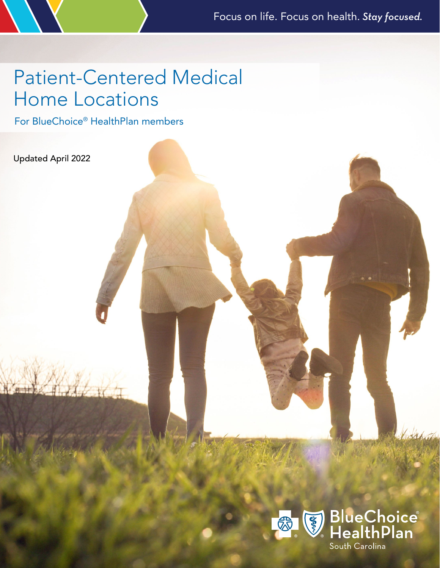Focus on life. Focus on health. *Stay focused.*

# Patient-Centered Medical Home Locations

For BlueChoice® HealthPlan members

Updated April 2022

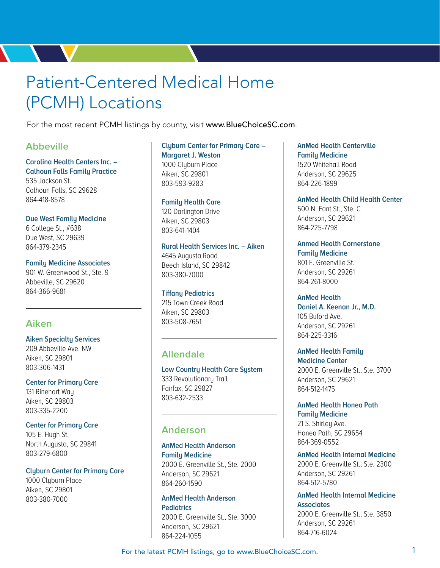# Patient-Centered Medical Home (PCMH) Locations

For the most recent PCMH listings by county, visit www.BlueChoiceSC.com.

# **Abbeville**

# **Carolina Health Centers Inc. –**

**Calhoun Falls Family Practice** 535 Jackson St. Calhoun Falls, SC 29628 864-418-8578

# **Due West Family Medicine**

6 College St., #638 Due West, SC 29639 864-379-2345

# **Family Medicine Associates**

901 W. Greenwood St., Ste. 9 Abbeville, SC 29620 864-366-9681

# **Aiken**

#### **Aiken Specialty Services** 209 Abbeville Ave. NW Aiken, SC 29801 803-306-1431

**Center for Primary Care**  131 Rinehart Way Aiken, SC 29803 803-335-2200

## **Center for Primary Care** 105 E. Hugh St. North Augusta, SC 29841 803-279-6800

## **Clyburn Center for Primary Care** 1000 Clyburn Place Aiken, SC 29801 803-380-7000

# **Clyburn Center for Primary Care – Margaret J. Weston** 1000 Clyburn Place Aiken, SC 29801

803-593-9283

# **Family Health Care**

120 Darlington Drive Aiken, SC 29803 803-641-1404

**Rural Health Services Inc. – Aiken**  4645 Augusta Road Beech Island, SC 29842 803-380-7000

#### **Tiffany Pediatrics**

215 Town Creek Road Aiken, SC 29803 803-508-7651

# **Allendale**

**Low Country Health Care System** 333 Revolutionary Trail Fairfax, SC 29827 803-632-2533

# **Anderson**

# **AnMed Health Anderson Family Medicine**

2000 E. Greenville St., Ste. 2000 Anderson, SC 29621 864-260-1590

# **AnMed Health Anderson Pediatrics**

2000 E. Greenville St., Ste. 3000 Anderson, SC 29621 864-224-1055

**AnMed Health Centerville Family Medicine** 1520 Whitehall Road Anderson, SC 29625 864-226-1899

**AnMed Health Child Health Center** 500 N. Fant St., Ste. C Anderson, SC 29621 864-225-7798

**Anmed Health Cornerstone Family Medicine**  801 E. Greenville St. Anderson, SC 29261 864-261-8000

**AnMed Health Daniel A. Keenan Jr., M.D.** 105 Buford Ave. Anderson, SC 29261 864-225-3316

**AnMed Health Family Medicine Center** 2000 E. Greenville St., Ste. 3700 Anderson, SC 29621 864-512-1475

**AnMed Health Honea Path Family Medicine** 21 S. Shirley Ave.

Honea Path, SC 29654 864-369-0552

# **AnMed Health Internal Medicine**

2000 E. Greenville St., Ste. 2300 Anderson, SC 29261 864-512-5780

# **AnMed Health Internal Medicine Associates**

2000 E. Greenville St., Ste. 3850 Anderson, SC 29261 864-716-6024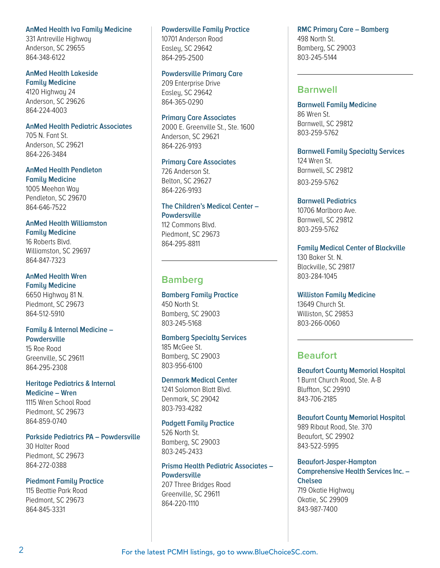#### **AnMed Health Iva Family Medicine**

331 Antreville Highway Anderson, SC 29655 864-348-6122

#### **AnMed Health Lakeside Family Medicine**

4120 Highway 24 Anderson, SC 29626 864-224-4003

# **AnMed Health Pediatric Associates**

705 N. Fant St. Anderson, SC 29621 864-226-3484

#### **AnMed Health Pendleton Family Medicine**

1005 Meehan Way Pendleton, SC 29670 864-646-7522

#### **AnMed Health Williamston Family Medicine**

16 Roberts Blvd. Williamston, SC 29697 864-847-7323

## **AnMed Health Wren Family Medicine** 6650 Highway 81 N. Piedmont, SC 29673

864-512-5910

#### **Family & Internal Medicine – Powdersville**

15 Roe Road Greenville, SC 29611 864-295-2308

# **Heritage Pediatrics & Internal Medicine – Wren** 1115 Wren School Road

Piedmont, SC 29673 864-859-0740

**Parkside Pediatrics PA – Powdersville** 30 Halter Road Piedmont, SC 29673 864-272-0388

# **Piedmont Family Practice**

115 Beattie Park Road Piedmont, SC 29673 864-845-3331

#### **Powdersville Family Practice** 10701 Anderson Road Easley, SC 29642 864-295-2500

**Powdersville Primary Care** 

209 Enterprise Drive Easley, SC 29642 864-365-0290

## **Primary Care Associates**

2000 E. Greenville St., Ste. 1600 Anderson, SC 29621 864-226-9193

# **Primary Care Associates**

726 Anderson St. Belton, SC 29627 864-226-9193

# **The Children's Medical Center – Powdersville**

112 Commons Blvd. Piedmont, SC 29673 864-295-8811

# **Bamberg**

**Bamberg Family Practice** 450 North St. Bamberg, SC 29003 803-245-5168

# **Bamberg Specialty Services**

185 McGee St. Bamberg, SC 29003 803-956-6100

# **Denmark Medical Center**

1241 Solomon Blatt Blvd. Denmark, SC 29042 803-793-4282

**Padgett Family Practice** 526 North St. Bamberg, SC 29003 803-245-2433

## **Prisma Health Pediatric Associates – Powdersville** 207 Three Bridges Road

Greenville, SC 29611 864-220-1110

**RMC Primary Care – Bamberg** 498 North St. Bamberg, SC 29003 803-245-5144

# **Barnwell**

**Barnwell Family Medicine** 86 Wren St. Barnwell, SC 29812 803-259-5762

**Barnwell Family Specialty Services** 124 Wren St. Barnwell, SC 29812 803-259-5762

**Barnwell Pediatrics**

10706 Marlboro Ave. Barnwell, SC 29812 803-259-5762

**Family Medical Center of Blackville** 130 Baker St. N. Blackville, SC 29817 803-284-1045

**Williston Family Medicine** 13649 Church St. Williston, SC 29853 803-266-0060

# **Beaufort**

**Beaufort County Memorial Hospital** 1 Burnt Church Road, Ste. A-B Bluffton, SC 29910 843-706-2185

**Beaufort County Memorial Hospital** 989 Ribaut Road, Ste. 370 Beaufort, SC 29902 843-522-5995

**Beaufort-Jasper-Hampton Comprehensive Health Services Inc. – Chelsea** 719 Okatie Highway Okatie, SC 29909 843-987-7400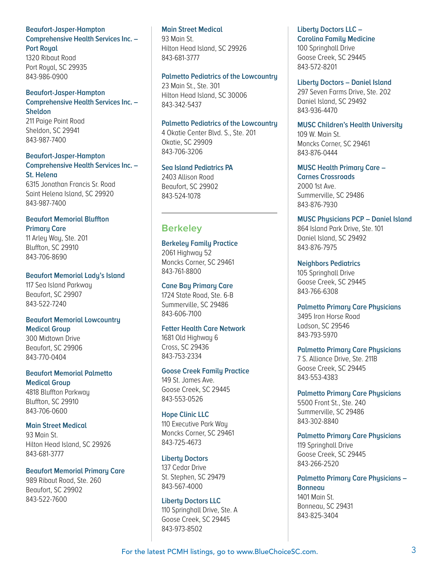#### **Beaufort-Jasper-Hampton Comprehensive Health Services Inc. – Port Royal**

1320 Ribaut Road Port Royal, SC 29935 843-986-0900

# **Beaufort-Jasper-Hampton Comprehensive Health Services Inc. – Sheldon**

211 Paige Point Road Sheldon, SC 29941 843-987-7400

#### **Beaufort-Jasper-Hampton Comprehensive Health Services Inc. – St. Helena**

6315 Jonathan Francis Sr. Road Saint Helena Island, SC 29920 843-987-7400

# **Beaufort Memorial Bluffton Primary Care**

11 Arley Way, Ste. 201 Bluffton, SC 29910 843-706-8690

## **Beaufort Memorial Lady's Island**

117 Sea Island Parkway Beaufort, SC 29907 843-522-7240

#### **Beaufort Memorial Lowcountry Medical Group**

300 Midtown Drive Beaufort, SC 29906 843-770-0404

## **Beaufort Memorial Palmetto Medical Group** 4818 Bluffton Parkway

Bluffton, SC 29910 843-706-0600

# **Main Street Medical**

93 Main St. Hilton Head Island, SC 29926 843-681-3777

# **Beaufort Memorial Primary Care**

989 Ribaut Road, Ste. 260 Beaufort, SC 29902 843-522-7600

# **Main Street Medical**

93 Main St. Hilton Head Island, SC 29926 843-681-3777

# **Palmetto Pediatrics of the Lowcountry**

23 Main St., Ste. 301 Hilton Head Island, SC 30006 843-342-5437

## **Palmetto Pediatrics of the Lowcountry**

4 Okatie Center Blvd. S., Ste. 201 Okatie, SC 29909 843-706-3206

# **Sea Island Pediatrics PA**

2403 Allison Road Beaufort, SC 29902 843-524-1078

# **Berkeley**

# **Berkeley Family Practice**

2061 Highway 52 Moncks Corner, SC 29461 843-761-8800

## **Cane Bay Primary Care**

1724 State Road, Ste. 6-B Summerville, SC 29486 843-606-7100

# **Fetter Health Care Network**

1681 Old Highway 6 Cross, SC 29436 843-753-2334

# **Goose Creek Family Practice**

149 St. James Ave. Goose Creek, SC 29445 843-553-0526

# **Hope Clinic LLC**

110 Executive Park Way Moncks Corner, SC 29461 843-725-4673

# **Liberty Doctors**

137 Cedar Drive St. Stephen, SC 29479 843-567-4000

# **Liberty Doctors LLC**

110 Springhall Drive, Ste. A Goose Creek, SC 29445 843-973-8502

# **Liberty Doctors LLC – Carolina Family Medicine**

100 Springhall Drive Goose Creek, SC 29445 843-572-8201

# **Liberty Doctors – Daniel Island**

297 Seven Farms Drive, Ste. 202 Daniel Island, SC 29492 843-936-4470

## **MUSC Children's Health University**

109 W. Main St. Moncks Corner, SC 29461 843-876-0444

#### **MUSC Health Primary Care – Carnes Crossroads**

2000 1st Ave. Summerville, SC 29486 843-876-7930

# **MUSC Physicians PCP – Daniel Island**

864 Island Park Drive, Ste. 101 Daniel Island, SC 29492 843-876-7975

# **Neighbors Pediatrics**

105 Springhall Drive Goose Creek, SC 29445 843-766-6308

# **Palmetto Primary Care Physicians**

3495 Iron Horse Road Ladson, SC 29546 843-793-5970

843-302-8840

# **Palmetto Primary Care Physicians**

7 S. Alliance Drive, Ste. 211B Goose Creek, SC 29445 843-553-4383

# **Palmetto Primary Care Physicians**  5500 Front St., Ste. 240 Summerville, SC 29486

**Palmetto Primary Care Physicians**  119 Springhall Drive Goose Creek, SC 29445 843-266-2520

#### **Palmetto Primary Care Physicians – Bonneau** 1401 Main St. Bonneau, SC 29431 843-825-3404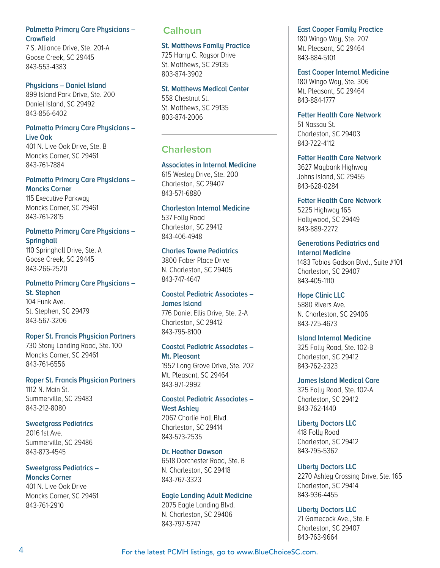# **Palmetto Primary Care Physicians – Crowfield**

7 S. Alliance Drive, Ste. 201-A Goose Creek, SC 29445 843-553-4383

# **Physicians – Daniel Island**

899 Island Park Drive, Ste. 200 Daniel Island, SC 29492 843-856-6402

## **Palmetto Primary Care Physicians – Live Oak**

401 N. Live Oak Drive, Ste. B Moncks Corner, SC 29461 843-761-7884

# **Palmetto Primary Care Physicians – Moncks Corner**

115 Executive Parkway Moncks Corner, SC 29461 843-761-2815

# **Palmetto Primary Care Physicians – Springhall**

110 Springhall Drive, Ste. A Goose Creek, SC 29445 843-266-2520

# **Palmetto Primary Care Physicians –**

**St. Stephen** 104 Funk Ave. St. Stephen, SC 29479 843-567-3206

# **Roper St. Francis Physician Partners**

730 Stony Landing Road, Ste. 100 Moncks Corner, SC 29461 843-761-6556

#### **Roper St. Francis Physician Partners** 1112 N. Main St. Summerville, SC 29483 843-212-8080

**Sweetgrass Pediatrics**

2016 1st Ave. Summerville, SC 29486 843-873-4545

## **Sweetgrass Pediatrics – Moncks Corner**

401 N. Live Oak Drive Moncks Corner, SC 29461 843-761-2910

# **Calhoun**

# **St. Matthews Family Practice**

725 Harry C. Raysor Drive St. Matthews, SC 29135 803-874-3902

## **St. Matthews Medical Center**

558 Chestnut St. St. Matthews, SC 29135 803-874-2006

# **Charleston**

# **Associates in Internal Medicine**

615 Wesley Drive, Ste. 200 Charleston, SC 29407 843-571-6880

## **Charleston Internal Medicine**

537 Folly Road Charleston, SC 29412 843-406-4948

## **Charles Towne Pediatrics**

3800 Faber Place Drive N. Charleston, SC 29405 843-747-4647

## **Coastal Pediatric Associates – James Island**

776 Daniel Ellis Drive, Ste. 2-A Charleston, SC 29412 843-795-8100

#### **Coastal Pediatric Associates – Mt. Pleasant**

1952 Long Grove Drive, Ste. 202 Mt. Pleasant, SC 29464 843-971-2992

## **Coastal Pediatric Associates – West Ashley**

2067 Charlie Hall Blvd. Charleston, SC 29414 843-573-2535

# **Dr. Heather Dawson**

6518 Dorchester Road, Ste. B N. Charleston, SC 29418 843-767-3323

#### **Eagle Landing Adult Medicine**

2075 Eagle Landing Blvd. N. Charleston, SC 29406 843-797-5747

# **East Cooper Family Practice**

180 Wingo Way, Ste. 207 Mt. Pleasant, SC 29464 843-884-5101

## **East Cooper Internal Medicine**

180 Wingo Way, Ste. 306 Mt. Pleasant, SC 29464 843-884-1777

# **Fetter Health Care Network**

51 Nassau St. Charleston, SC 29403 843-722-4112

## **Fetter Health Care Network**

3627 Maybank Highway Johns Island, SC 29455 843-628-0284

## **Fetter Health Care Network**

5225 Highway 165 Hollywood, SC 29449 843-889-2272

# **Generations Pediatrics and**

**Internal Medicine** 1483 Tobias Gadson Blvd., Suite #101 Charleston, SC 29407 843-405-1110

# **Hope Clinic LLC**

5880 Rivers Ave. N. Charleston, SC 29406 843-725-4673

#### **Island Internal Medicine**

325 Folly Road, Ste. 102-B Charleston, SC 29412 843-762-2323

#### **James Island Medical Care**

325 Folly Road, Ste. 102-A Charleston, SC 29412 843-762-1440

#### **Liberty Doctors LLC**

418 Folly Road Charleston, SC 29412 843-795-5362

# **Liberty Doctors LLC**

2270 Ashley Crossing Drive, Ste. 165 Charleston, SC 29414 843-936-4455

# **Liberty Doctors LLC**

21 Gamecock Ave., Ste. E Charleston, SC 29407 843-763-9664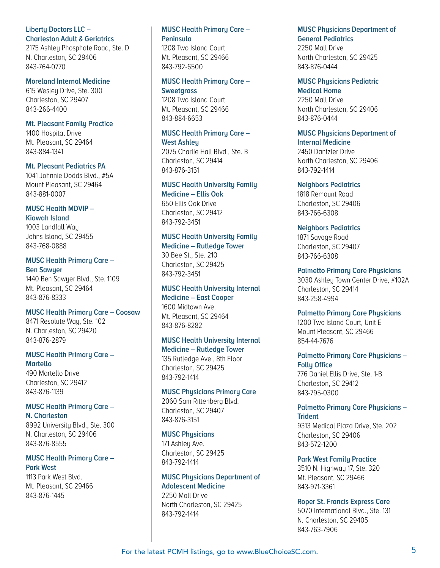#### **Liberty Doctors LLC – Charleston Adult & Geriatrics**

2175 Ashley Phosphate Road, Ste. D N. Charleston, SC 29406 843-764-0770

#### **Moreland Internal Medicine**

615 Wesley Drive, Ste. 300 Charleston, SC 29407 843-266-4400

**Mt. Pleasant Family Practice** 1400 Hospital Drive Mt. Pleasant, SC 29464 843-884-1341

# **Mt. Pleasant Pediatrics PA**

1041 Johnnie Dodds Blvd., #5A Mount Pleasant, SC 29464 843-881-0007

**MUSC Health MDVIP – Kiawah Island** 1003 Landfall Way Johns Island, SC 29455 843-768-0888

# **MUSC Health Primary Care – Ben Sawuer**

1440 Ben Sawyer Blvd., Ste. 1109 Mt. Pleasant, SC 29464 843-876-8333

# **MUSC Health Primary Care – Coosaw**

8471 Resolute Way, Ste. 102 N. Charleston, SC 29420 843-876-2879

# **MUSC Health Primary Care –**

**Martello** 490 Martello Drive Charleston, SC 29412 843-876-1139

# **MUSC Health Primary Care –**

**N. Charleston** 8992 University Blvd., Ste. 300 N. Charleston, SC 29406 843-876-8555

# **MUSC Health Primary Care – Park West**

1113 Park West Blvd. Mt. Pleasant, SC 29466 843-876-1445

# **MUSC Health Primary Care – Peninsula**

1208 Two Island Court Mt. Pleasant, SC 29466 843-792-6500

# **MUSC Health Primary Care – Sweetgrass**

1208 Two Island Court Mt. Pleasant, SC 29466 843-884-6653

#### **MUSC Health Primary Care – West Ashley**

2075 Charlie Hall Blvd., Ste. B Charleston, SC 29414 843-876-3151

## **MUSC Health University Family**

**Medicine – Ellis Oak** 650 Ellis Oak Drive Charleston, SC 29412 843-792-3451

# **MUSC Health University Family**

**Medicine – Rutledge Tower** 30 Bee St., Ste. 210 Charleston, SC 29425 843-792-3451

# **MUSC Health University Internal Medicine – East Cooper**

1600 Midtown Ave. Mt. Pleasant, SC 29464 843-876-8282

# **MUSC Health University Internal**

**Medicine – Rutledge Tower** 135 Rutledge Ave., 8th Floor Charleston, SC 29425 843-792-1414

# **MUSC Physicians Primary Care**

2060 Sam Rittenberg Blvd. Charleston, SC 29407 843-876-3151

# **MUSC Physicians**

171 Ashley Ave. Charleston, SC 29425 843-792-1414

# **MUSC Physicians Department of Adolescent Medicine**

2250 Mall Drive North Charleston, SC 29425 843-792-1414

#### **MUSC Physicians Department of General Pediatrics**

2250 Mall Drive North Charleston, SC 29425 843-876-0444

# **MUSC Physicians Pediatric**

**Medical Home** 2250 Mall Drive North Charleston, SC 29406 843-876-0444

# **MUSC Physicians Department of**

**Internal Medicine** 2450 Dantzler Drive North Charleston, SC 29406 843-792-1414

## **Neighbors Pediatrics**

1818 Remount Road Charleston, SC 29406 843-766-6308

# **Neighbors Pediatrics**

1871 Savage Road Charleston, SC 29407 843-766-6308

# **Palmetto Primary Care Physicians**

3030 Ashley Town Center Drive, #102A Charleston, SC 29414 843-258-4994

#### **Palmetto Primary Care Physicians** 1200 Two Island Court, Unit E Mount Pleasant, SC 29466 854-44-7676

**Palmetto Primary Care Physicians – Folly Office** 776 Daniel Ellis Drive, Ste. 1-B Charleston, SC 29412 843-795-0300

# **Palmetto Primary Care Physicians – Trident**

9313 Medical Plaza Drive, Ste. 202 Charleston, SC 29406 843-572-1200

# **Park West Family Practice**

3510 N. Highway 17, Ste. 320 Mt. Pleasant, SC 29466 843-971-3361

# **Roper St. Francis Express Care**

5070 International Blvd., Ste. 131 N. Charleston, SC 29405 843-763-7906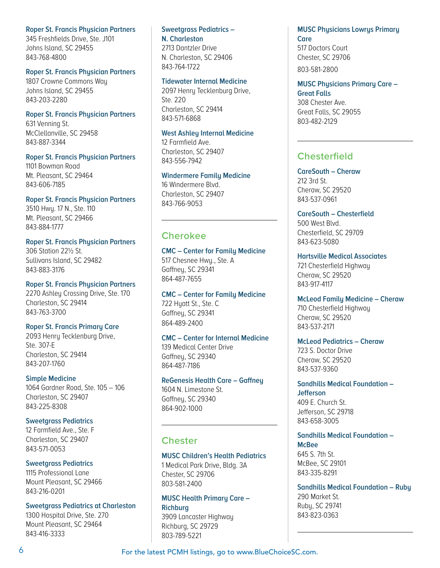#### **Roper St. Francis Physician Partners**

345 Freshfields Drive, Ste. J101 Johns Island, SC 29455 843-768-4800

#### **Roper St. Francis Physician Partners**

1807 Crowne Commons Way Johns Island, SC 29455 843-203-2280

**Roper St. Francis Physician Partners** 631 Venning St. McClellanville, SC 29458 843-887-3344

#### **Roper St. Francis Physician Partners**

1101 Bowman Road Mt. Pleasant, SC 29464 843-606-7185

#### **Roper St. Francis Physician Partners**

3510 Hwy. 17 N., Ste. 110 Mt. Pleasant, SC 29466 843-884-1777

## **Roper St. Francis Physician Partners**

306 Station 22½ St. Sullivans Island, SC 29482 843-883-3176

# **Roper St. Francis Physician Partners**

2270 Ashley Crossing Drive, Ste. 170 Charleston, SC 29414 843-763-3700

#### **Roper St. Francis Primary Care**

2093 Henry Tecklenburg Drive, Ste. 307-E Charleston, SC 29414 843-207-1760

**Simple Medicine** 1064 Gardner Road, Ste. 105 – 106 Charleston, SC 29407 843-225-8308

# **Sweetgrass Pediatrics**

12 Farmfield Ave., Ste. F Charleston, SC 29407 843-571-0053

#### **Sweetgrass Pediatrics**

1115 Professional Lane Mount Pleasant, SC 29466 843-216-0201

#### **Sweetgrass Pediatrics at Charleston**

1300 Hospital Drive, Ste. 270 Mount Pleasant, SC 29464 843-416-3333

# **Sweetgrass Pediatrics – N. Charleston** 2713 Dantzler Drive

N. Charleston, SC 29406 843-764-1722

#### **Tidewater Internal Medicine**

2097 Henry Tecklenburg Drive, Ste. 220 Charleston, SC 29414 843-571-6868

#### **West Ashley Internal Medicine**

12 Farmfield Ave. Charleston, SC 29407 843-556-7942

#### **Windermere Family Medicine**

16 Windermere Blvd. Charleston, SC 29407 843-766-9053

# **Cherokee**

#### **CMC – Center for Family Medicine**

517 Chesnee Hwy., Ste. A Gaffney, SC 29341 864-487-7655

#### **CMC – Center for Family Medicine** 722 Huatt St., Ste. C

Gaffney, SC 29341 864-489-2400

# **CMC – Center for Internal Medicine**

139 Medical Center Drive Gaffney, SC 29340 864-487-7186

# **ReGenesis Health Care – Gaffney**

1604 N. Limestone St. Gaffney, SC 29340 864-902-1000

# **Chester**

# **MUSC Children's Health Pediatrics**

1 Medical Park Drive, Bldg. 3A Chester, SC 29706 803-581-2400

## **MUSC Health Primary Care – Richburg**

3909 Lancaster Highway Richburg, SC 29729 803-789-5221

# **MUSC Physicians Lowrys Primary Care**  517 Doctors Court Chester, SC 29706

803-581-2800

#### **MUSC Physicians Primary Care – Great Falls**  308 Chester Ave. Great Falls, SC 29055 803-482-2129

# **Chesterfield**

**CareSouth – Cheraw** 212 3rd St. Cheraw, SC 29520 843-537-0961

**CareSouth – Chesterfield** 500 West Blvd. Chesterfield, SC 29709 843-623-5080

**Hartsville Medical Associates** 721 Chesterfield Highway Cheraw, SC 29520 843-917-4117

**McLeod Family Medicine – Cheraw** 710 Chesterfield Highway Cheraw, SC 29520 843-537-2171

**McLeod Pediatrics – Cheraw** 723 S. Doctor Drive Cheraw, SC 29520 843-537-9360

**Sandhills Medical Foundation – Jefferson** 409 E. Church St. Jefferson, SC 29718 843-658-3005

#### **Sandhills Medical Foundation – McBee** 645 S. 7th St. McBee, SC 29101

843-335-8291

**Sandhills Medical Foundation – Ruby**  290 Market St. Ruby, SC 29741 843-823-0363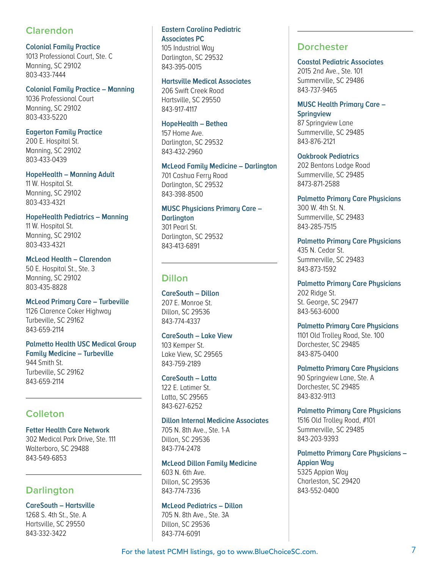# **Clarendon**

**Colonial Family Practice**  1013 Professional Court, Ste. C Manning, SC 29102 803-433-7444

#### **Colonial Family Practice – Manning**

1036 Professional Court Manning, SC 29102 803-433-5220

#### **Eagerton Family Practice**

200 E. Hospital St. Manning, SC 29102 803-433-0439

#### **HopeHealth – Manning Adult**

11 W. Hospital St. Manning, SC 29102 803-433-4321

# **HopeHealth Pediatrics – Manning**

11 W. Hospital St. Manning, SC 29102 803-433-4321

**McLeod Health – Clarendon** 50 E. Hospital St., Ste. 3 Manning, SC 29102 803-435-8828

**McLeod Primary Care – Turbeville** 1126 Clarence Coker Highway Turbeville, SC 29162 843-659-2114

# **Palmetto Health USC Medical Group**

**Family Medicine – Turbeville**  944 Smith St. Turbeville, SC 29162 843-659-2114

# **Colleton**

#### **Fetter Health Care Network**

302 Medical Park Drive, Ste. 111 Walterboro, SC 29488 843-549-6853

# **Darlington**

**CareSouth – Hartsville** 1268 S. 4th St., Ste. A Hartsville, SC 29550 843-332-3422

# **Eastern Carolina Pediatric Associates PC**

105 Industrial Way Darlington, SC 29532 843-395-0015

#### **Hartsville Medical Associates**

206 Swift Creek Road Hartsville, SC 29550 843-917-4117

## **HopeHealth – Bethea**

157 Home Ave. Darlington, SC 29532 843-432-2960

### **McLeod Family Medicine – Darlington** 701 Cashua Ferry Road Darlington, SC 29532 843-398-8500

**MUSC Physicians Primary Care – Darlington** 301 Pearl St. Darlington, SC 29532 843-413-6891

# **Dillon**

#### **CareSouth – Dillon** 207 E. Monroe St. Dillon, SC 29536 843-774-4337

# **CareSouth – Lake View**

103 Kemper St. Lake View, SC 29565 843-759-2189

# **CareSouth – Latta**

122 E. Latimer St. Latta, SC 29565 843-627-6252

#### **Dillon Internal Medicine Associates**

705 N. 8th Ave., Ste. 1-A Dillon, SC 29536 843-774-2478

#### **McLeod Dillon Family Medicine**

603 N. 6th Ave. Dillon, SC 29536 843-774-7336

## **McLeod Pediatrics – Dillon**

705 N. 8th Ave., Ste. 3A Dillon, SC 29536 843-774-6091

# **Dorchester**

**Coastal Pediatric Associates** 2015 2nd Ave., Ste. 101 Summerville, SC 29486 843-737-9465

#### **MUSC Health Primary Care – Springview** 87 Springview Lane Summerville, SC 29485 843-876-2121

**Oakbrook Pediatrics** 202 Bentons Lodge Road Summerville, SC 29485 8473-871-2588

#### **Palmetto Primary Care Physicians**  300 W. 4th St. N. Summerville, SC 29483 843-285-7515

**Palmetto Primary Care Physicians** 435 N. Cedar St. Summerville, SC 29483 843-873-1592

**Palmetto Primary Care Physicians** 202 Ridge St. St. George, SC 29477 843-563-6000

#### **Palmetto Primary Care Physicians** 1101 Old Trolley Road, Ste. 100 Dorchester, SC 29485

843-875-0400 **Palmetto Primary Care Physicians** 90 Springview Lane, Ste. A Dorchester, SC 29485 843-832-9113

**Palmetto Primary Care Physicians** 1516 Old Trolley Road, #101 Summerville, SC 29485 843-203-9393

# **Palmetto Primary Care Physicians – Appian Way** 5325 Appian Way

Charleston, SC 29420 843-552-0400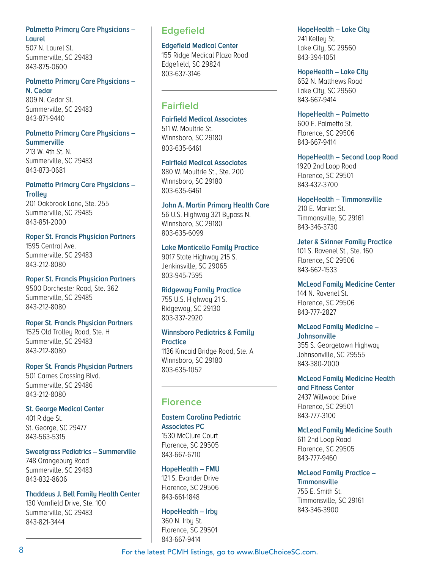# **Palmetto Primary Care Physicians – Laurel**

507 N. Laurel St. Summerville, SC 29483 843-875-0600

#### **Palmetto Primary Care Physicians – N. Cedar**

809 N. Cedar St. Summerville, SC 29483 843-871-9440

### **Palmetto Primary Care Physicians – Summerville**

213 W. 4th St. N. Summerville, SC 29483 843-873-0681

# **Palmetto Primary Care Physicians –**

**Trolley** 201 Oakbrook Lane, Ste. 255 Summerville, SC 29485 843-851-2000

# **Roper St. Francis Physician Partners**

1595 Central Ave. Summerville, SC 29483 843-212-8080

# **Roper St. Francis Physician Partners**

9500 Dorchester Road, Ste. 362 Summerville, SC 29485 843-212-8080

# **Roper St. Francis Physician Partners**

1525 Old Trolley Road, Ste. H Summerville, SC 29483 843-212-8080

# **Roper St. Francis Physician Partners**

501 Carnes Crossing Blvd. Summerville, SC 29486 843-212-8080

**St. George Medical Center** 401 Ridge St. St. George, SC 29477 843-563-5315

#### **Sweetgrass Pediatrics – Summerville** 748 Orangeburg Road

Summerville, SC 29483 843-832-8606

# **Thaddeus J. Bell Family Health Center**

130 Varnfield Drive, Ste. 100 Summerville, SC 29483 843-821-3444

# **Edgefield**

# **Edgefield Medical Center**

155 Ridge Medical Plaza Road Edgefield, SC 29824 803-637-3146

# **Fairfield**

# **Fairfield Medical Associates**  511 W. Moultrie St.

Winnsboro, SC 29180 803-635-6461

# **Fairfield Medical Associates**

880 W. Moultrie St., Ste. 200 Winnsboro, SC 29180 803-635-6461

# **John A. Martin Primary Health Care**

56 U.S. Highway 321 Bypass N. Winnsboro, SC 29180 803-635-6099

# **Lake Monticello Family Practice**

9017 State Highway 215 S. Jenkinsville, SC 29065 803-945-7595

# **Ridgeway Family Practice**

755 U.S. Highway 21 S. Ridgeway, SC 29130 803-337-2920

#### **Winnsboro Pediatrics & Family Practice**

1136 Kincaid Bridge Road, Ste. A Winnsboro, SC 29180 803-635-1052

# **Florence**

#### **Eastern Carolina Pediatric Associates PC** 1530 McClure Court

Florence, SC 29505 843-667-6710

#### **HopeHealth – FMU**

121 S. Evander Drive Florence, SC 29506 843-661-1848

## **HopeHealth – Irby** 360 N. Irby St. Florence, SC 29501

843-667-9414

## **HopeHealth – Lake City**

241 Kelley St. Lake City, SC 29560 843-394-1051

# **HopeHealth – Lake City**

652 N. Matthews Road Lake City, SC 29560 843-667-9414

## **HopeHealth – Palmetto**

600 E. Palmetto St. Florence, SC 29506 843-667-9414

## **HopeHealth – Second Loop Road**

1920 2nd Loop Road Florence, SC 29501 843-432-3700

#### **HopeHealth – Timmonsville**

210 E. Market St. Timmonsville, SC 29161 843-346-3730

# **Jeter & Skinner Family Practice**

101 S. Ravenel St., Ste. 160 Florence, SC 29506 843-662-1533

#### **McLeod Family Medicine Center** 144 N. Ravenel St. Florence, SC 29506 843-777-2827

# **McLeod Family Medicine –**

**Johnsonville** 355 S. Georgetown Highway Johnsonville, SC 29555 843-380-2000

## **McLeod Family Medicine Health and Fitness Center** 2437 Willwood Drive Florence, SC 29501 843-777-3100

**McLeod Family Medicine South** 611 2nd Loop Road Florence, SC 29505 843-777-9460

#### **McLeod Family Practice – Timmonsville** 755 E. Smith St. Timmonsville, SC 29161 843-346-3900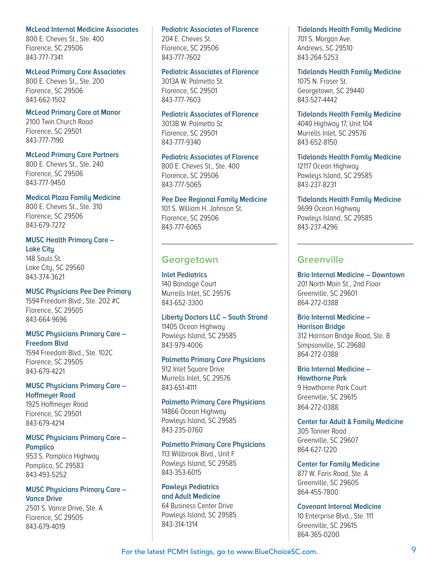#### **McLeod Internal Medicine Associates**

800 E. Cheves St., Ste. 400 Florence, SC 29506 843-777-7341

#### **McLeod Primary Care Associates**

800 E. Cheves St., Ste. 200 Florence, SC 29506 843-662-1502

**McLeod Primary Care at Manor** 2100 Twin Church Road Florence, SC 29501

843-777-7190

#### **McLeod Primary Care Partners**

800 E. Cheves St., Ste. 240 Florence, SC 29506 843-777-9450

#### **Medical Plaza Family Medicine**

800 E. Cheves St., Ste. 310 Florence, SC 29506 843-679-7272

#### **MUSC Health Primary Care – Lake City**

148 Sauls St. Lake City, SC 29560 843-374-3621

# **MUSC Physicians Pee Dee Primary**

1594 Freedom Blvd., Ste. 202 #C Florence, SC 29505 843-664-9696

#### **MUSC Physicians Primary Care – Freedom Blvd**

1594 Freedom Blvd., Ste. 102C Florence, SC 29505 843-679-4221

**MUSC Physicians Primary Care – Hoffmeyer Road** 

1925 Hoffmeuer Road Florence, SC 29501 843-679-4214

# **MUSC Physicians Primary Care – Pamplico**

953 S. Pamplico Highway Pamplico, SC 29583 843-493-5252

# **MUSC Physicians Primary Care – Vance Drive**

2501 S. Vance Drive, Ste. A Florence, SC 29505 843-679-4019

#### **Pediatric Associates of Florence**

204 E. Cheves St. Florence, SC 29506 843-777-7602

#### **Pediatric Associates of Florence**

3013A W. Palmetto St. Florence, SC 29501 843-777-7603

#### **Pediatric Associates of Florence**

3013B W. Palmetto St. Florence, SC 29501 843-777-9340

#### **Pediatric Associates of Florence**

800 E. Cheves St., Ste. 400 Florence, SC 29506 843-777-5065

#### **Pee Dee Regional Family Medicine**

101 S. William H. Johnson St. Florence, SC 29506 843-777-6065

# **Georgetown**

**Inlet Pediatrics** 140 Bandage Court Murrells Inlet, SC 29576 843-652-3300

**Liberty Doctors LLC – South Strand**  11405 Ocean Highway Pawleys Island, SC 29585 843-979-4006

#### **Palmetto Primary Care Physicians**

912 Inlet Square Drive Murrells Inlet, SC 29576 843-651-4111

# **Palmetto Primary Care Physicians**

14866 Ocean Highway Pawleys Island, SC 29585 843-235-0760

#### **Palmetto Primary Care Physicians**

113 Willbrook Blvd., Unit F Pawleus Island, SC 29585 843-353-6015

# **Pawleus Pediatrics**

**and Adult Medicine** 64 Business Center Drive Pawleys Island, SC 29585 843-314-1314

#### **Tidelands Health Family Medicine**

701 S. Morgan Ave. Andrews, SC 29510 843-264-5253

**Tidelands Health Family Medicine** 1075 N. Fraser St.

Georgetown, SC 29440 843-527-4442

## **Tidelands Health Family Medicine**

4040 Highway 17, Unit 104 Murrells Inlet, SC 29576 843-652-8150

## **Tidelands Health Family Medicine**

12117 Ocean Highway Pawleus Island, SC 29585 843-237-8231

## **Tidelands Health Family Medicine**

9699 Ocean Highway Pawleus Island, SC 29585 843-237-4296

# **Greenville**

**Brio Internal Medicine – Downtown** 201 North Main St., 2nd Floor Greenville, SC 29601 864-272-0388

#### **Brio Internal Medicine – Harrison Bridge**  312 Harrison Bridge Road, Ste. B Simpsonville, SC 29680 864-272-0388

**Brio Internal Medicine – Hawthorne Park** 9 Hawthorne Park Court Greenville, SC 29615 864-272-0388

# **Center for Adult & Family Medicine**

305 Tanner Road Greenville, SC 29607 864-627-1220

**Center for Family Medicine**

877 W. Faris Road, Ste. A Greenville, SC 29605 864-455-7800

#### **Covenant Internal Medicine** 10 Enterprise Blvd., Ste. 111 Greenville, SC 29615 864-365-0200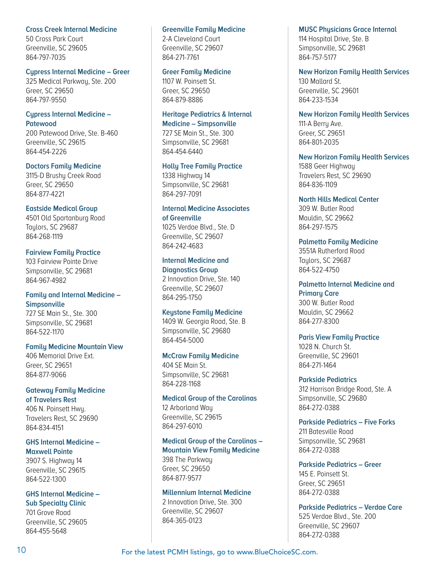#### **Cross Creek Internal Medicine**

50 Cross Park Court Greenville, SC 29605 864-797-7035

## **Cypress Internal Medicine – Greer**

325 Medical Parkway, Ste. 200 Greer, SC 29650 864-797-9550

## **Cypress Internal Medicine – Patewood**

200 Patewood Drive, Ste. B-460 Greenville, SC 29615 864-454-2226

#### **Doctors Family Medicine**

3115-D Brushy Creek Road Greer, SC 29650 864-877-4221

## **Eastside Medical Group**

4501 Old Spartanburg Road Taylors, SC 29687 864-268-1119

## **Fairview Family Practice**

103 Fairview Pointe Drive Simpsonville, SC 29681 864-967-4982

# **Family and Internal Medicine – Simpsonville**

727 SE Main St., Ste. 300 Simpsonville, SC 29681 864-522-1170

#### **Family Medicine Mountain View**

406 Memorial Drive Ext. Greer, SC 29651 864-877-9066

## **Gateway Family Medicine of Travelers Rest**

406 N. Poinsett Hwy. Travelers Rest, SC 29690 864-834-4151

#### **GHS Internal Medicine – Maxwell Pointe** 3907 S. Highway 14

Greenville, SC 29615 864-522-1300

#### **GHS Internal Medicine – Sub Specialty Clinic**

701 Grove Road Greenville, SC 29605 864-455-5648

#### **Greenville Family Medicine**

2-A Cleveland Court Greenville, SC 29607 864-271-7761

## **Greer Family Medicine**

1107 W. Poinsett St. Greer, SC 29650 864-879-8886

#### **Heritage Pediatrics & Internal Medicine – Simpsonville**

727 SE Main St., Ste. 300 Simpsonville, SC 29681 864-454-6440

# **Holly Tree Family Practice**

1338 Highway 14 Simpsonville, SC 29681 864-297-7091

#### **Internal Medicine Associates of Greenville**

1025 Verdae Blvd., Ste. D Greenville, SC 29607 864-242-4683

#### **Internal Medicine and Diagnostics Group**

2 Innovation Drive, Ste. 140 Greenville, SC 29607 864-295-1750

#### **Keystone Family Medicine**

1409 W. Georgia Road, Ste. B Simpsonville, SC 29680 864-454-5000

# **McCraw Family Medicine**

404 SE Main St. Simpsonville, SC 29681 864-228-1168

## **Medical Group of the Carolinas**

12 Arborland Way Greenville, SC 29615 864-297-6010

#### **Medical Group of the Carolinas – Mountain View Family Medicine**

398 The Parkway Greer, SC 29650 864-877-9577

## **Millennium Internal Medicine**

2 Innovation Drive, Ste. 300 Greenville, SC 29607 864-365-0123

# **MUSC Physicians Grace Internal**

114 Hospital Drive, Ste. B Simpsonville, SC 29681 864-757-5177

**New Horizon Family Health Services** 130 Mallard St. Greenville, SC 29601

864-233-1534

# **New Horizon Family Health Services**

111-A Berry Ave. Greer, SC 29651 864-801-2035

#### **New Horizon Family Health Services**

1588 Geer Highway Travelers Rest, SC 29690 864-836-1109

#### **North Hills Medical Center**

309 W. Butler Road Mauldin, SC 29662 864-297-1575

#### **Palmetto Family Medicine**

3551A Rutherford Road Taylors, SC 29687 864-522-4750

# **Palmetto Internal Medicine and Primary Care** 300 W. Butler Road

Mauldin, SC 29662 864-277-8300

# **Paris View Family Practice**

1028 N. Church St. Greenville, SC 29601 864-271-1464

## **Parkside Pediatrics**  312 Harrison Bridge Road, Ste. A Simpsonville, SC 29680 864-272-0388

#### **Parkside Pediatrics – Five Forks** 211 Batesville Road Simpsonville, SC 29681 864-272-0388

**Parkside Pediatrics – Greer** 145 E. Poinsett St. Greer, SC 29651 864-272-0388

**Parkside Pediatrics – Verdae Care** 525 Verdae Blvd., Ste. 200 Greenville, SC 29607 864-272-0388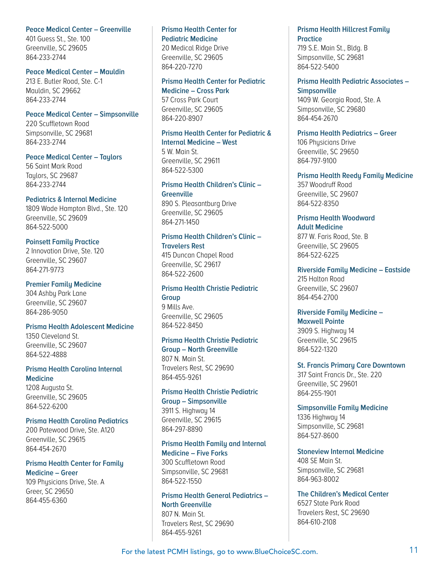#### **Peace Medical Center – Greenville**

401 Guess St., Ste. 100 Greenville, SC 29605 864-233-2744

#### **Peace Medical Center – Mauldin**

213 E. Butler Road, Ste. C-1 Mauldin, SC 29662 864-233-2744

## **Peace Medical Center – Simpsonville**

220 Scuffletown Road Simpsonville, SC 29681 864-233-2744

## **Peace Medical Center – Taylors**

56 Saint Mark Road Taulors, SC 29687 864-233-2744

#### **Pediatrics & Internal Medicine**

1809 Wade Hampton Blvd., Ste. 120 Greenville, SC 29609 864-522-5000

#### **Poinsett Family Practice**

2 Innovation Drive, Ste. 120 Greenville, SC 29607 864-271-9773

#### **Premier Family Medicine**

304 Ashby Park Lane Greenville, SC 29607 864-286-9050

## **Prisma Health Adolescent Medicine**

1350 Cleveland St. Greenville, SC 29607 864-522-4888

# **Prisma Health Carolina Internal Medicine**

1208 Augusta St. Greenville, SC 29605 864-522-6200

## **Prisma Health Carolina Pediatrics**

200 Patewood Drive, Ste. A120 Greenville, SC 29615 864-454-2670

#### **Prisma Health Center for Family Medicine – Greer**

109 Physicians Drive, Ste. A Greer, SC 29650 864-455-6360

## **Prisma Health Center for Pediatric Medicine** 20 Medical Ridge Drive

Greenville, SC 29605 864-220-7270

#### **Prisma Health Center for Pediatric Medicine – Cross Park**

57 Cross Park Court Greenville, SC 29605 864-220-8907

#### **Prisma Health Center for Pediatric & Internal Medicine – West**

5 W. Main St. Greenville, SC 29611 864-522-5300

#### **Prisma Health Children's Clinic –**

**Greenville** 890 S. Pleasantburg Drive

Greenville, SC 29605 864-271-1450

#### **Prisma Health Children's Clinic – Travelers Rest**

415 Duncan Chapel Road Greenville, SC 29617 864-522-2600

# **Prisma Health Christie Pediatric Group** 9 Mills Ave.

Greenville, SC 29605 864-522-8450

# **Prisma Health Christie Pediatric**

**Group – North Greenville**  807 N. Main St. Travelers Rest, SC 29690 864-455-9261

# **Prisma Health Christie Pediatric**

**Group – Simpsonville** 3911 S. Highway 14 Greenville, SC 29615 864-297-8890

#### **Prisma Health Family and Internal Medicine – Five Forks**  300 Scuffletown Road Simpsonville, SC 29681 864-522-1550

**Prisma Health General Pediatrics – North Greenville** 807 N. Main St. Travelers Rest, SC 29690 864-455-9261

## **Prisma Health Hillcrest Family Practice** 719 S.E. Main St., Bldg. B Simpsonville, SC 29681

**Prisma Health Pediatric Associates – Simpsonville**

1409 W. Georgia Road, Ste. A Simpsonville, SC 29680 864-454-2670

#### **Prisma Health Pediatrics – Greer** 106 Phusicians Drive

Greenville, SC 29650 864-797-9100

864-522-5400

# **Prisma Health Reedy Family Medicine**

357 Woodruff Road Greenville, SC 29607 864-522-8350

# **Prisma Health Woodward Adult Medicine**  877 W. Faris Road, Ste. B

Greenville, SC 29605 864-522-6225

# **Riverside Family Medicine – Eastside** 215 Halton Road

Greenville, SC 29607 864-454-2700

## **Riverside Family Medicine – Maxwell Pointe** 3909 S. Highway 14 Greenville, SC 29615 864-522-1320

**St. Francis Primary Care Downtown** 317 Saint Francis Dr., Ste. 220 Greenville, SC 29601 864-255-1901

## **Simpsonville Family Medicine** 1336 Highway 14 Simpsonville, SC 29681 864-527-8600

**Stoneview Internal Medicine** 408 SE Main St. Simpsonville, SC 29681 864-963-8002

## **The Children's Medical Center** 6527 State Park Road Travelers Rest, SC 29690 864-610-2108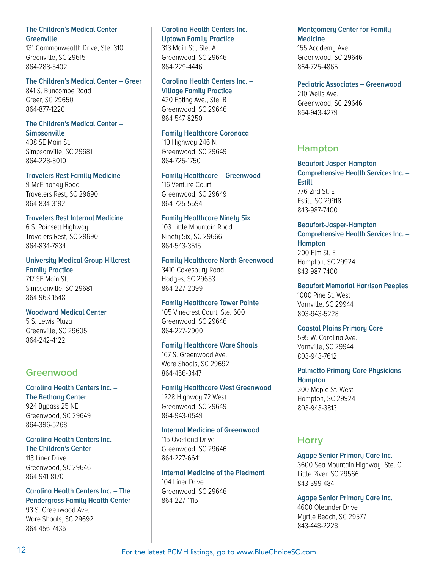## **The Children's Medical Center – Greenville**

131 Commonwealth Drive, Ste. 310 Greenville, SC 29615 864-288-5402

## **The Children's Medical Center – Greer**

841 S. Buncombe Road Greer, SC 29650 864-877-1220

# **The Children's Medical Center – Simpsonville**

408 SE Main St. Simpsonville, SC 29681 864-228-8010

## **Travelers Rest Family Medicine**

9 McElhaney Road Travelers Rest, SC 29690 864-834-3192

# **Travelers Rest Internal Medicine**

6 S. Poinsett Highway Travelers Rest, SC 29690 864-834-7834

#### **University Medical Group Hillcrest Family Practice**

717 SE Main St. Simpsonville, SC 29681 864-963-1548

# **Woodward Medical Center**

5 S. Lewis Plaza Greenville, SC 29605 864-242-4122

# **Greenwood**

**Carolina Health Centers Inc. – The Bethany Center** 924 Bupass 25 NE Greenwood, SC 29649 864-396-5268

## **Carolina Health Centers Inc. – The Children's Center**

113 Liner Drive Greenwood, SC 29646 864-941-8170

## **Carolina Health Centers Inc. – The Pendergrass Family Health Center**

93 S. Greenwood Ave. Ware Shoals, SC 29692 864-456-7436

# **Carolina Health Centers Inc. – Uptown Family Practice** 313 Main St., Ste. A

Greenwood, SC 29646 864-229-4446

# **Carolina Health Centers Inc. – Village Family Practice**

420 Epting Ave., Ste. B Greenwood, SC 29646 864-547-8250

# **Family Healthcare Coronaca**

110 Highway 246 N. Greenwood, SC 29649 864-725-1750

# **Family Healthcare – Greenwood** 116 Venture Court Greenwood, SC 29649

864-725-5594

# **Family Healthcare Ninety Six**

103 Little Mountain Road Ninety Six, SC 29666 864-543-3515

# **Family Healthcare North Greenwood**

3410 Cokesbury Road Hodges, SC 29653 864-227-2099

#### **Family Healthcare Tower Pointe**

105 Vinecrest Court, Ste. 600 Greenwood, SC 29646 864-227-2900

# **Family Healthcare Ware Shoals**

167 S. Greenwood Ave. Ware Shoals, SC 29692 864-456-3447

# **Family Healthcare West Greenwood**

1228 Highway 72 West Greenwood, SC 29649 864-943-0549

# **Internal Medicine of Greenwood**

115 Overland Drive Greenwood, SC 29646 864-227-6641

## **Internal Medicine of the Piedmont** 104 Liner Drive Greenwood, SC 29646 864-227-1115

# **Montgomery Center for Family Medicine** 155 Academy Ave.

Greenwood, SC 29646 864-725-4865

# **Pediatric Associates – Greenwood**

210 Wells Ave. Greenwood, SC 29646 864-943-4279

# **Hampton**

**Beaufort-Jasper-Hampton Comprehensive Health Services Inc. – Estill** 776 2nd St. E Estill, SC 29918 843-987-7400

**Beaufort-Jasper-Hampton Comprehensive Health Services Inc. – Hampton** 200 Elm St. E Hampton, SC 29924 843-987-7400

**Beaufort Memorial Harrison Peeples** 1000 Pine St. West Varnville, SC 29944 803-943-5228

#### **Coastal Plains Primary Care** 595 W. Carolina Ave. Varnville, SC 29944

803-943-7612

**Palmetto Primary Care Physicians – Hampton** 300 Maple St. West Hampton, SC 29924 803-943-3813

# **Horry**

**Agape Senior Primary Care Inc.** 3600 Sea Mountain Highway, Ste. C Little River, SC 29566 843-399-484

**Agape Senior Primary Care Inc.** 4600 Oleander Drive Myrtle Beach, SC 29577 843-448-2228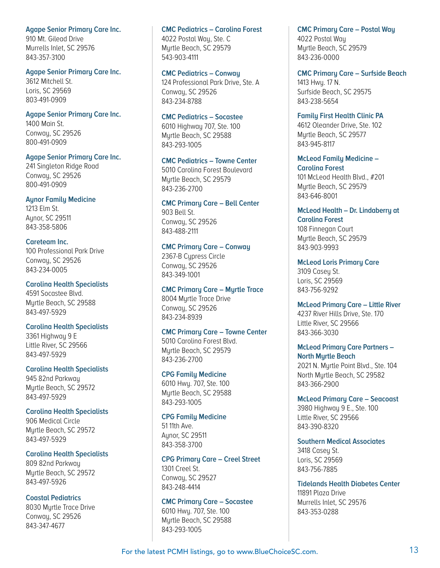#### **Agape Senior Primary Care Inc.**

910 Mt. Gilead Drive Murrells Inlet, SC 29576 843-357-3100

#### **Agape Senior Primary Care Inc.**

3612 Mitchell St. Loris, SC 29569 803-491-0909

**Agape Senior Primary Care Inc.** 1400 Main St. Conway, SC 29526 800-491-0909

#### **Agape Senior Primary Care Inc.**

241 Singleton Ridge Road Conway, SC 29526 800-491-0909

#### **Aynor Family Medicine**

1213 Elm St. Aunor, SC 29511 843-358-5806

#### **Careteam Inc.**

100 Professional Park Drive Conway, SC 29526 843-234-0005

#### **Carolina Health Specialists**

4591 Socastee Blvd. Myrtle Beach, SC 29588 843-497-5929

#### **Carolina Health Specialists**

3361 Highway 9 E Little River, SC 29566 843-497-5929

#### **Carolina Health Specialists**

945 82nd Parkway Myrtle Beach, SC 29572 843-497-5929

**Carolina Health Specialists**

906 Medical Circle Myrtle Beach, SC 29572 843-497-5929

#### **Carolina Health Specialists**

809 82nd Parkway Myrtle Beach, SC 29572 843-497-5926

#### **Coastal Pediatrics**

8030 Myrtle Trace Drive Conway, SC 29526 843-347-4677

**CMC Pediatrics – Carolina Forest**  4022 Postal Way, Ste. C Myrtle Beach, SC 29579 543-903-4111

**CMC Pediatrics – Conway** 124 Professional Park Drive, Ste. A Conway, SC 29526 843-234-8788

#### **CMC Pediatrics – Socastee**

6010 Highway 707, Ste. 100 Myrtle Beach, SC 29588 843-293-1005

#### **CMC Pediatrics – Towne Center**

5010 Carolina Forest Boulevard Myrtle Beach, SC 29579 843-236-2700

#### **CMC Primary Care – Bell Center** 903 Bell St.

Conway, SC 29526 843-488-2111

# **CMC Primary Care – Conway**

2367-B Cypress Circle Conway, SC 29526 843-349-1001

#### **CMC Primary Care – Myrtle Trace**

8004 Myrtle Trace Drive Conway, SC 29526 843-234-8939

# **CMC Primary Care – Towne Center**

5010 Carolina Forest Blvd. Myrtle Beach, SC 29579 843-236-2700

#### **CPG Family Medicine**

6010 Hwy. 707, Ste. 100 Myrtle Beach, SC 29588 843-293-1005

#### **CPG Family Medicine**

51 11th Ave. Aynor, SC 29511 843-358-3700

#### **CPG Primary Care – Creel Street** 1301 Creel St. Conway, SC 29527 843-248-4414

#### **CMC Primary Care – Socastee**

6010 Hwy. 707, Ste. 100 Myrtle Beach, SC 29588 843-293-1005

**CMC Primary Care – Postal Way**  4022 Postal Way Myrtle Beach, SC 29579 843-236-0000

**CMC Primary Care – Surfside Beach**  1413 Hwy. 17 N. Surfside Beach, SC 29575 843-238-5654

#### **Family First Health Clinic PA**

4612 Oleander Drive, Ste. 102 Myrtle Beach, SC 29577 843-945-8117

**McLeod Family Medicine – Carolina Forest** 101 McLeod Health Blvd., #201

Myrtle Beach, SC 29579 843-646-8001

# **McLeod Health – Dr. Lindaberry at Carolina Forest**

108 Finnegan Court Myrtle Beach, SC 29579 843-903-9993

**McLeod Loris Primary Care**

3109 Casey St. Loris, SC 29569 843-756-9292

**McLeod Primary Care – Little River** 4237 River Hills Drive, Ste. 170 Little River, SC 29566 843-366-3030

**McLeod Primary Care Partners – North Myrtle Beach**

2021 N. Myrtle Point Blvd., Ste. 104 North Myrtle Beach, SC 29582 843-366-2900

**McLeod Primary Care – Seacoast** 3980 Highway 9 E., Ste. 100 Little River, SC 29566 843-390-8320

**Southern Medical Associates** 3418 Casey St. Loris, SC 29569 843-756-7885

**Tidelands Health Diabetes Center** 11891 Plaza Drive Murrells Inlet, SC 29576 843-353-0288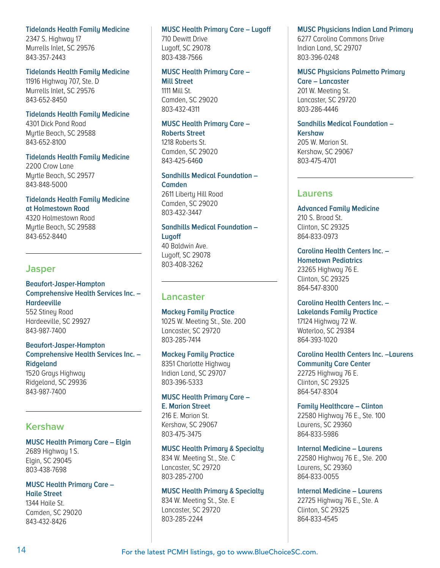#### **Tidelands Health Family Medicine**

2347 S. Highway 17 Murrells Inlet, SC 29576 843-357-2443

#### **Tidelands Health Family Medicine**

11916 Highway 707, Ste. D Murrells Inlet, SC 29576 843-652-8450

#### **Tidelands Health Family Medicine**

4301 Dick Pond Road Myrtle Beach, SC 29588 843-652-8100

# **Tidelands Health Family Medicine**

2200 Crow Lane Myrtle Beach, SC 29577 843-848-5000

# **Tidelands Health Family Medicine at Holmestown Road**

4320 Holmestown Road Myrtle Beach, SC 29588 843-652-8440

# **Jasper**

# **Beaufort-Jasper-Hampton Comprehensive Health Services Inc. – Hardeeville** 552 Stiney Road Hardeeville, SC 29927 843-987-7400

# **Beaufort-Jasper-Hampton Comprehensive Health Services Inc. – Ridgeland**

1520 Grays Highway Ridgeland, SC 29936 843-987-7400

# **Kershaw**

#### **MUSC Health Primary Care – Elgin** 2689 Highway 1 S.

Elgin, SC 29045 803-438-7698

# **MUSC Health Primary Care –**

**Haile Street** 1344 Haile St. Camden, SC 29020 843-432-8426

## **MUSC Health Primary Care – Lugoff** 710 Dewitt Drive Lugoff, SC 29078 803-438-7566

#### **MUSC Health Primary Care – Mill Street**

1111 Mill St. Camden, SC 29020 803-432-4311

# **MUSC Health Primary Care – Roberts Street** 1218 Roberts St.

Camden, SC 29020 843-425-646**0**

### **Sandhills Medical Foundation – Camden**  2611 Liberty Hill Road

Camden, SC 29020 803-432-3447

## **Sandhills Medical Foundation – Lugoff** 40 Baldwin Ave.

Lugoff, SC 29078 803-408-3262

# **Lancaster**

#### **Mackey Family Practice** 1025 W. Meeting St., Ste. 200 Lancaster, SC 29720 803-285-7414

# **Mackey Family Practice**

8351 Charlotte Highway Indian Land, SC 29707 803-396-5333

#### **MUSC Health Primary Care – E. Marion Street** 216 E. Marion St. Kershaw, SC 29067 803-475-3475

### **MUSC Health Primary & Specialty** 834 W. Meeting St., Ste. C Lancaster, SC 29720 803-285-2700

#### **MUSC Health Primary & Specialty**  834 W. Meeting St., Ste. E Lancaster, SC 29720 803-285-2244

# **MUSC Physicians Indian Land Primary**

6277 Carolina Commons Drive Indian Land, SC 29707 803-396-0248

#### **MUSC Physicians Palmetto Primary Care – Lancaster**  201 W. Meeting St.

Lancaster, SC 29720 803-286-4446

## **Sandhills Medical Foundation – Kershaw**

205 W. Marion St. Kershaw, SC 29067 803-475-4701

# **Laurens**

**Advanced Family Medicine** 210 S. Broad St. Clinton, SC 29325 864-833-0973

**Carolina Health Centers Inc. – Hometown Pediatrics** 23265 Highway 76 E. Clinton, SC 29325 864-547-8300

## **Carolina Health Centers Inc. – Lakelands Family Practice** 17124 Highway 72 W. Waterloo, SC 29384 864-393-1020

**Carolina Health Centers Inc. –Laurens Community Care Center** 22725 Highway 76 E. Clinton, SC 29325 864-547-8304

## **Family Healthcare – Clinton** 22580 Highway 76 E., Ste. 100 Laurens, SC 29360 864-833-5986

**Internal Medicine – Laurens** 22580 Highway 76 E., Ste. 200 Laurens, SC 29360 864-833-0055

**Internal Medicine – Laurens** 22725 Highway 76 E., Ste. A Clinton, SC 29325 864-833-4545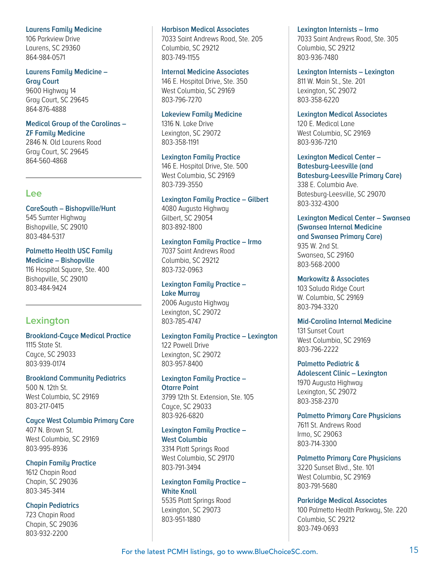#### **Laurens Family Medicine**

106 Parkview Drive Laurens, SC 29360 864-984-0571

# **Laurens Family Medicine –**

**Gray Court** 9600 Highway 14 Gray Court, SC 29645 864-876-4888

### **Medical Group of the Carolinas – ZF Family Medicine**

2846 N. Old Laurens Road Gray Court, SC 29645 864-560-4868

# **Lee**

**CareSouth – Bishopville/Hunt** 545 Sumter Highway Bishopville, SC 29010

803-484-5317

#### **Palmetto Health USC Family Medicine – Bishopville**

116 Hospital Square, Ste. 400 Bishopville, SC 29010 803-484-9424

# **Lexington**

#### **Brookland-Cayce Medical Practice** 1115 State St. Cayce, SC 29033 803-939-0174

**Brookland Community Pediatrics** 500 N. 12th St. West Columbia, SC 29169 803-217-0415

#### **Cayce West Columbia Primary Care**

407 N. Brown St. West Columbia, SC 29169 803-995-8936

#### **Chapin Family Practice**

1612 Chapin Road Chapin, SC 29036 803-345-3414

#### **Chapin Pediatrics**

723 Chapin Road Chapin, SC 29036 803-932-2200

#### **Harbison Medical Associates**

7033 Saint Andrews Road, Ste. 205 Columbia, SC 29212 803-749-1155

#### **Internal Medicine Associates**

146 E. Hospital Drive, Ste. 350 West Columbia, SC 29169 803-796-7270

## **Lakeview Family Medicine**

1316 N. Lake Drive Lexington, SC 29072 803-358-1191

#### **Lexington Family Practice**

146 E. Hospital Drive, Ste. 500 West Columbia, SC 29169 803-739-3550

#### **Lexington Family Practice – Gilbert**

4080 Augusta Highway Gilbert, SC 29054 803-892-1800

# **Lexington Family Practice – Irmo**

7037 Saint Andrews Road Columbia, SC 29212 803-732-0963

# **Lexington Family Practice – Lake Murray** 2006 Augusta Highway

Lexington, SC 29072 803-785-4747

# **Lexington Family Practice – Lexington**

122 Powell Drive Lexington, SC 29072 803-957-8400

#### **Lexington Family Practice – Otarre Point**

3799 12th St. Extension, Ste. 105 Cayce, SC 29033 803-926-6820

## **Lexington Family Practice – West Columbia**

3314 Platt Springs Road West Columbia, SC 29170 803-791-3494

## **Lexington Family Practice – White Knoll**

5535 Platt Springs Road Lexington, SC 29073 803-951-1880

#### **Lexington Internists – Irmo**

7033 Saint Andrews Road, Ste. 305 Columbia, SC 29212 803-936-7480

**Lexington Internists – Lexington**

811 W. Main St., Ste. 201 Lexington, SC 29072 803-358-6220

# **Lexington Medical Associates**

120 E. Medical Lane West Columbia, SC 29169 803-936-7210

## **Lexington Medical Center – Batesburg-Leesville (and Batesburg-Leesville Primary Care)** 338 E. Columbia Ave. Batesburg-Leesville, SC 29070 803-332-4300

## **Lexington Medical Center – Swansea (Swansea Internal Medicine and Swansea Primary Care)** 935 W. 2nd St. Swansea, SC 29160 803-568-2000

**Markowitz & Associates**

103 Saluda Ridge Court W. Columbia, SC 29169 803-794-3320

# **Mid-Carolina Internal Medicine**

131 Sunset Court West Columbia, SC 29169 803-796-2222

#### **Palmetto Pediatric &**

**Adolescent Clinic – Lexington** 1970 Augusta Highway Lexington, SC 29072 803-358-2370

# **Palmetto Primary Care Physicians**

7611 St. Andrews Road Irmo, SC 29063 803-714-3300

#### **Palmetto Primary Care Physicians**

3220 Sunset Blvd., Ste. 101 West Columbia, SC 29169 803-791-5680

# **Parkridge Medical Associates**

100 Palmetto Health Parkway, Ste. 220 Columbia, SC 29212 803-749-0693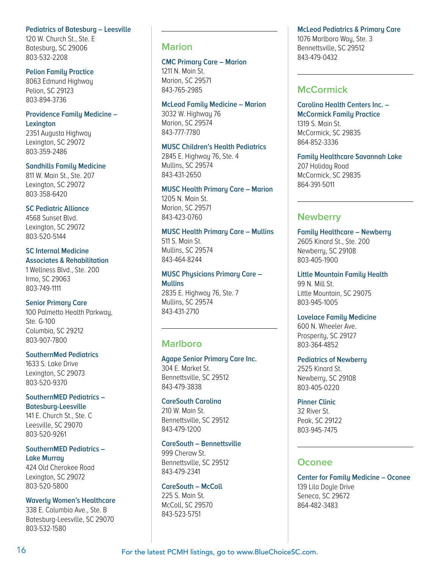#### **Pediatrics of Batesburg – Leesville**

120 W. Church St., Ste. E Batesburg, SC 29006 803-532-2208

#### **Pelion Family Practice**

8063 Edmund Highway Pelion, SC 29123 803-894-3736

# **Providence Family Medicine – Lexington**

2351 Augusta Highway Lexington, SC 29072 803-359-2486

#### **Sandhills Family Medicine**

811 W. Main St., Ste. 207 Lexington, SC 29072 803-358-6420

## **SC Pediatric Alliance**

4568 Sunset Blvd. Lexington, SC 29072 803-520-5144

# **SC Internal Medicine Associates & Rehabilitation**

1 Wellness Blvd., Ste. 200 Irmo, SC 29063 803-749-1111

#### **Senior Primary Care**

100 Palmetto Health Parkway, Ste. G-100 Columbia, SC 29212 803-907-7800

## **SouthernMed Pediatrics**

1633 S. Lake Drive Lexington, SC 29073 803-520-9370

#### **SouthernMED Pediatrics – Batesburg-Leesville**

141 E. Church St., Ste. C Leesville, SC 29070 803-520-9261

# **SouthernMED Pediatrics – Lake Murray**

424 Old Cherokee Road Lexington, SC 29072 803-520-5800

#### **Waverly Women's Healthcare**

338 E. Columbia Ave., Ste. B Batesburg-Leesville, SC 29070 803-532-1580

# **Marion**

# **CMC Primary Care – Marion**

1211 N. Main St. Marion, SC 29571 843-765-2985

#### **McLeod Family Medicine – Marion**

3032 W. Highway 76 Marion, SC 29574 843-777-7780

## **MUSC Children's Health Pediatrics**

2845 E. Highway 76, Ste. 4 Mullins, SC 29574 843-431-2650

## **MUSC Health Primary Care – Marion** 1205 N. Main St.

Marion, SC 29571 843-423-0760

#### **MUSC Health Primary Care – Mullins**

511 S. Main St. Mullins, SC 29574 843-464-8244

#### **MUSC Physicians Primary Care – Mullins** 2835 E. Highway 76, Ste. 7

Mullins, SC 29574 843-431-2710

# **Marlboro**

# **Agape Senior Primary Care Inc.**

304 E. Market St. Bennettsville, SC 29512 843-479-3838

#### **CareSouth Carolina**

210 W. Main St. Bennettsville, SC 29512 843-479-1200

## **CareSouth – Bennettsville**

999 Cheraw St. Bennettsville, SC 29512 843-479-2341

## **CareSouth – McColl**

225 S. Main St. McColl, SC 29570 843-523-5751

# **McLeod Pediatrics & Primary Care**

1076 Marlboro Way, Ste. 3 Bennettsville, SC 29512 843-479-0432

# **McCormick**

**Carolina Health Centers Inc. – McCormick Family Practice** 1319 S. Main St. McCormick, SC 29835 864-852-3336

**Family Healthcare Savannah Lake** 207 Holiday Road McCormick, SC 29835 864-391-5011

# **Newberry**

**Family Healthcare – Newberry** 2605 Kinard St., Ste. 200 Newberry, SC 29108 803-405-1900

**Little Mountain Family Health** 99 N. Mill St. Little Mountain, SC 29075 803-945-1005

#### **Lovelace Family Medicine**

600 N. Wheeler Ave. Prosperity, SC 29127 803-364-4852

#### **Pediatrics of Newberry**

2525 Kinard St. Newberry, SC 29108 803-405-0220

## **Pinner Clinic**

32 River St. Peak, SC 29122 803-945-7475

# **Oconee**

**Center for Family Medicine – Oconee**  139 Lila Doule Drive Seneca, SC 29672 864-482-3483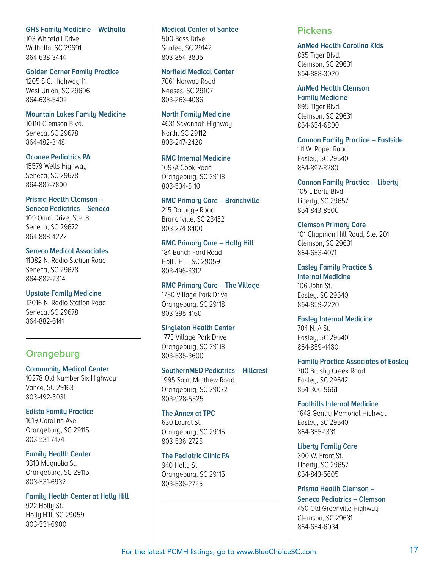#### **GHS Family Medicine – Walhalla**

103 Whitetail Drive Walhalla, SC 29691 864-638-3444

#### **Golden Corner Family Practice**

1205 S.C. Highway 11 West Union, SC 29696 864-638-5402

## **Mountain Lakes Family Medicine**

10110 Clemson Blvd. Seneca, SC 29678 864-482-3148

#### **Oconee Pediatrics PA**

15579 Wells Highway Seneca, SC 29678 864-882-7800

# **Prisma Health Clemson –**

**Seneca Pediatrics – Seneca** 109 Omni Drive, Ste. B Seneca, SC 29672 864-888-4222

## **Seneca Medical Associates**

11082 N. Radio Station Road Seneca, SC 29678 864-882-2314

#### **Upstate Family Medicine**

12016 N. Radio Station Road Seneca, SC 29678 864-882-6141

# **Orangeburg**

**Community Medical Center** 10278 Old Number Six Highway Vance, SC 29163 803-492-3031

#### **Edisto Family Practice** 1619 Carolina Ave. Orangeburg, SC 29115 803-531-7474

**Family Health Center** 3310 Magnolia St. Orangeburg, SC 29115 803-531-6932

# **Family Health Center at Holly Hill** 922 Holly St. Holly Hill, SC 29059

803-531-6900

# **Medical Center of Santee**

500 Bass Drive Santee, SC 29142 803-854-3805

# **Norfield Medical Center**

7061 Norway Road Neeses, SC 29107

# **North Family Medicine**

803-263-4086

4631 Savannah Highway North, SC 29112 803-247-2428

## **RMC Internal Medicine**

1097A Cook Road Orangeburg, SC 29118 803-534-5110

## **RMC Primary Care – Branchville**

215 Dorange Road Branchville, SC 23432 803-274-8400

# **RMC Primary Care – Holly Hill**

184 Bunch Ford Road Holly Hill, SC 29059 803-496-3312

# **RMC Primary Care – The Village**

1750 Village Park Drive Orangeburg, SC 29118 803-395-4160

## **Singleton Health Center**

1773 Village Park Drive Orangeburg, SC 29118 803-535-3600

#### **SouthernMED Pediatrics – Hillcrest**

1995 Saint Matthew Road Orangeburg, SC 29072 803-928-5525

#### **The Annex at TPC**

630 Laurel St. Orangeburg, SC 29115 803-536-2725

## **The Pediatric Clinic PA**

940 Holly St. Orangeburg, SC 29115 803-536-2725

# **Pickens**

**AnMed Health Carolina Kids** 885 Tiger Blvd. Clemson, SC 29631 864-888-3020

**AnMed Health Clemson Family Medicine**  895 Tiger Blvd. Clemson, SC 29631 864-654-6800

864-897-8280

#### **Cannon Family Practice – Eastside** 111 W. Roper Road Easley, SC 29640

**Cannon Family Practice – Liberty** 105 Liberty Blvd. Liberty, SC 29657 864-843-8500

# **Clemson Primary Care**

101 Chapman Hill Road, Ste. 201 Clemson, SC 29631 864-653-4071

# **Easley Family Practice & Internal Medicine** 106 John St. Easley, SC 29640

864-859-2220 **Easley Internal Medicine** 704 N. A St. Easley, SC 29640

# 864-859-4480 **Family Practice Associates of Easley**

700 Brushy Creek Road Easley, SC 29642 864-306-9661

# **Foothills Internal Medicine**

1648 Gentry Memorial Highway Easley, SC 29640 864-855-1331

# **Liberty Family Care**

300 W. Front St. Liberty, SC 29657 864-843-5605

**Prisma Health Clemson – Seneca Pediatrics – Clemson** 450 Old Greenville Highway Clemson, SC 29631 864-654-6034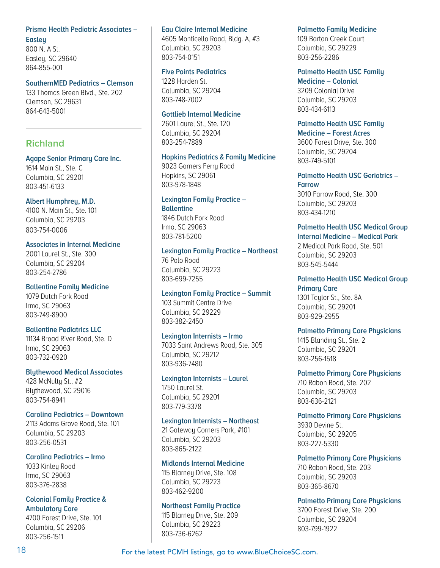# **Prisma Health Pediatric Associates –**

**Easley**

800 N. A St. Easley, SC 29640 864-855-001

#### **SouthernMED Pediatrics – Clemson**

133 Thomas Green Blvd., Ste. 202 Clemson, SC 29631 864-643-5001

# **Richland**

#### **Agape Senior Primary Care Inc.**

1614 Main St., Ste. C Columbia, SC 29201 803-451-6133

## **Albert Humphrey, M.D.**

4100 N. Main St., Ste. 101 Columbia, SC 29203 803-754-0006

# **Associates in Internal Medicine**

2001 Laurel St., Ste. 300 Columbia, SC 29204 803-254-2786

## **Ballentine Family Medicine**

1079 Dutch Fork Road Irmo, SC 29063 803-749-8900

#### **Ballentine Pediatrics LLC**

11134 Broad River Road, Ste. D Irmo, SC 29063 803-732-0920

#### **Blythewood Medical Associates**

428 McNulty St., #2 Blythewood, SC 29016 803-754-8941

#### **Carolina Pediatrics – Downtown**

2113 Adams Grove Road, Ste. 101 Columbia, SC 29203 803-256-0531

#### **Carolina Pediatrics – Irmo**

1033 Kinley Road Irmo, SC 29063 803-376-2838

## **Colonial Family Practice & Ambulatory Care**

4700 Forest Drive, Ste. 101 Columbia, SC 29206 803-256-1511

#### **Eau Claire Internal Medicine**

4605 Monticello Road, Bldg. A, #3 Columbia, SC 29203 803-754-0151

#### **Five Points Pediatrics**

1228 Harden St. Columbia, SC 29204 803-748-7002

#### **Gottlieb Internal Medicine**

2601 Laurel St., Ste. 120 Columbia, SC 29204 803-254-7889

#### **Hopkins Pediatrics & Family Medicine**

9023 Garners Ferry Road Hopkins, SC 29061 803-978-1848

#### **Lexington Family Practice –**

**Ballentine** 1846 Dutch Fork Road Irmo, SC 29063 803-781-5200

**Lexington Family Practice – Northeast** 76 Polo Road Columbia, SC 29223 803-699-7255

## **Lexington Family Practice – Summit** 103 Summit Centre Drive

Columbia, SC 29229 803-382-2450

# **Lexington Internists – Irmo**

7033 Saint Andrews Road, Ste. 305 Columbia, SC 29212 803-936-7480

# **Lexington Internists – Laurel**

1750 Laurel St. Columbia, SC 29201 803-779-3378

#### **Lexington Internists – Northeast**

21 Gateway Corners Park, #101 Columbia, SC 29203 803-865-2122

#### **Midlands Internal Medicine**

115 Blarney Drive, Ste. 108 Columbia, SC 29223 803-462-9200

#### **Northeast Family Practice**

115 Blarney Drive, Ste. 209 Columbia, SC 29223 803-736-6262

#### **Palmetto Family Medicine**

109 Barton Creek Court Columbia, SC 29229 803-256-2286

**Palmetto Health USC Family Medicine – Colonial** 3209 Colonial Drive Columbia, SC 29203 803-434-6113

#### **Palmetto Health USC Family Medicine – Forest Acres**

3600 Forest Drive, Ste. 300 Columbia, SC 29204 803-749-5101

## **Palmetto Health USC Geriatrics – Farrow**

3010 Farrow Road, Ste. 300 Columbia, SC 29203 803-434-1210

#### **Palmetto Health USC Medical Group Internal Medicine – Medical Park** 2 Medical Park Road, Ste. 501 Columbia, SC 29203 803-545-5444

**Palmetto Health USC Medical Group Primary Care**  1301 Taylor St., Ste. 8A Columbia, SC 29201 803-929-2955

**Palmetto Primary Care Physicians**  1415 Blanding St., Ste. 2 Columbia, SC 29201 803-256-1518

**Palmetto Primary Care Physicians** 710 Rabon Road, Ste. 202 Columbia, SC 29203 803-636-2121

**Palmetto Primary Care Physicians** 3930 Devine St. Columbia, SC 29205 803-227-5330

# **Palmetto Primary Care Physicians**

710 Rabon Road, Ste. 203 Columbia, SC 29203 803-365-8670

# **Palmetto Primary Care Physicians**

3700 Forest Drive, Ste. 200 Columbia, SC 29204 803-799-1922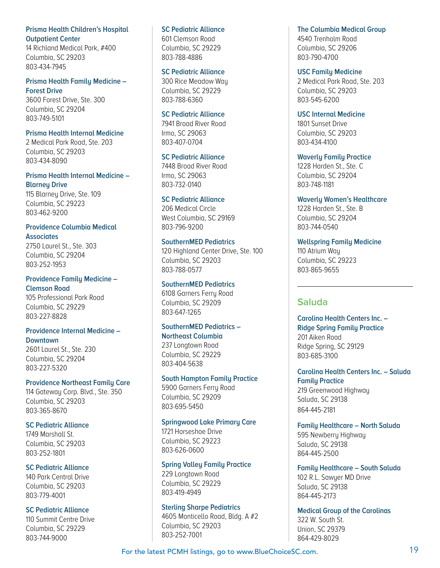## **Prisma Health Children's Hospital Outpatient Center**

14 Richland Medical Park, #400 Columbia, SC 29203 803-434-7945

# **Prisma Health Family Medicine – Forest Drive**

3600 Forest Drive, Ste. 300 Columbia, SC 29204 803-749-5101

#### **Prisma Health Internal Medicine**

2 Medical Park Road, Ste. 203 Columbia, SC 29203 803-434-8090

## **Prisma Health Internal Medicine – Blarney Drive**

115 Blarney Drive, Ste. 109 Columbia, SC 29223 803-462-9200

#### **Providence Columbia Medical Associates**

2750 Laurel St., Ste. 303 Columbia, SC 29204 803-252-1953

**Providence Family Medicine – Clemson Road** 105 Professional Park Road Columbia, SC 29229 803-227-8828

## **Providence Internal Medicine – Downtown**

2601 Laurel St., Ste. 230 Columbia, SC 29204 803-227-5320

#### **Providence Northeast Family Care**

114 Gateway Corp. Blvd., Ste. 350 Columbia, SC 29203 803-365-8670

# **SC Pediatric Alliance**

1749 Marshall St. Columbia, SC 29203 803-252-1801

# **SC Pediatric Alliance**

140 Park Central Drive Columbia, SC 29203 803-779-4001

# **SC Pediatric Alliance**

110 Summit Centre Drive Columbia, SC 29229 803-744-9000

# **SC Pediatric Alliance**

601 Clemson Road Columbia, SC 29229 803-788-4886

# **SC Pediatric Alliance**

300 Rice Meadow Way Columbia, SC 29229 803-788-6360

## **SC Pediatric Alliance**

7941 Broad River Road Irmo, SC 29063 803-407-0704

## **SC Pediatric Alliance**

7448 Broad River Road Irmo, SC 29063 803-732-0140

# **SC Pediatric Alliance**

206 Medical Circle West Columbia, SC 29169 803-796-9200

# **SouthernMED Pediatrics**

120 Highland Center Drive, Ste. 100 Columbia, SC 29203 803-788-0577

# **SouthernMED Pediatrics**

6108 Garners Ferry Road Columbia, SC 29209 803-647-1265

#### **SouthernMED Pediatrics – Northeast Columbia**

237 Longtown Road Columbia, SC 29229 803-404-5638

# **South Hampton Family Practice**

5900 Garners Ferry Road Columbia, SC 29209 803-695-5450

# **Springwood Lake Primary Care**

1721 Horseshoe Drive Columbia, SC 29223 803-626-0600

# **Spring Valley Family Practice**

229 Longtown Road Columbia, SC 29229 803-419-4949

# **Sterling Sharpe Pediatrics**

4605 Monticello Road, Bldg. A #2 Columbia, SC 29203 803-252-7001

# **The Columbia Medical Group**

4540 Trenholm Road Columbia, SC 29206 803-790-4700

**USC Family Medicine** 

2 Medical Park Road, Ste. 203 Columbia, SC 29203 803-545-6200

**USC Internal Medicine** 1801 Sunset Drive Columbia, SC 29203 803-434-4100

## **Waverly Family Practice**

1228 Harden St., Ste. C Columbia, SC 29204 803-748-1181

## **Waverly Women's Healthcare**

1228 Harden St., Ste. B Columbia, SC 29204 803-744-0540

# **Wellspring Family Medicine**

110 Atrium Way Columbia, SC 29223 803-865-9655

# **Saluda**

**Carolina Health Centers Inc. – Ridge Spring Family Practice** 201 Aiken Road Ridge Spring, SC 29129 803-685-3100

**Carolina Health Centers Inc. – Saluda Family Practice** 219 Greenwood Highway Saluda, SC 29138 864-445-2181

**Family Healthcare – North Saluda** 595 Newberry Highway Saluda, SC 29138 864-445-2500

**Family Healthcare – South Saluda** 102 R.L. Sawyer MD Drive Saluda, SC 29138 864-445-2173

**Medical Group of the Carolinas**  322 W. South St. Union, SC 29379 864-429-8029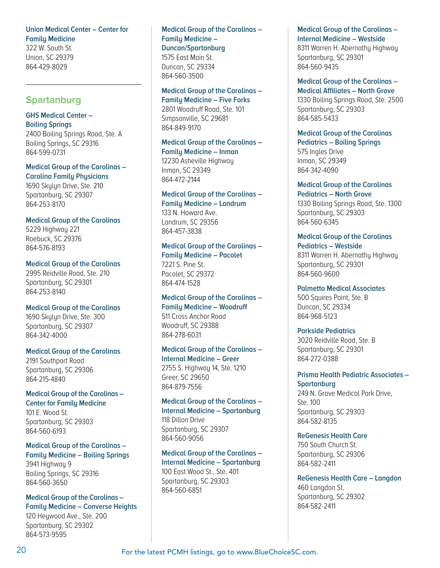# **Union Medical Center – Center for Family Medicine**

322 W. South St. Union, SC 29379 864-429-8029

# **Spartanburg**

**GHS Medical Center – Boiling Springs** 2400 Boiling Springs Road, Ste. A

Boiling Springs, SC 29316 864-599-0731

**Medical Group of the Carolinas – Carolina Family Physicians**

1690 Skylyn Drive, Ste. 210 Spartanburg, SC 29307 864-253-8170

**Medical Group of the Carolinas** 5229 Highway 221 Roebuck, SC 29376 864-576-8193

**Medical Group of the Carolinas** 

2995 Reidville Road, Ste. 210 Spartanburg, SC 29301 864-253-8140

## **Medical Group of the Carolinas**

1690 Skylyn Drive, Ste. 300 Spartanburg, SC 29307 864-342-4000

#### **Medical Group of the Carolinas**

2191 Southport Road Spartanburg, SC 29306 864-215-4840

**Medical Group of the Carolinas – Center for Family Medicine**

101 E. Wood St. Spartanburg, SC 29303 864-560-6193

# **Medical Group of the Carolinas –**

**Family Medicine – Boiling Springs** 3941 Highway 9 Boiling Springs, SC 29316 864-560-3650

#### **Medical Group of the Carolinas –**

**Family Medicine – Converse Heights** 120 Heywood Ave., Ste. 200 Spartanburg, SC 29302 864-573-9595

**Medical Group of the Carolinas – Family Medicine – Duncan/Spartanburg** 1575 East Main St.

Duncan, SC 29334 864-560-3500

# **Medical Group of the Carolinas –**

**Family Medicine – Five Forks** 2801 Woodruff Road, Ste. 101 Simpsonville, SC 29681 864-849-9170

# **Medical Group of the Carolinas –**

**Family Medicine – Inman** 12230 Asheville Highway Inman, SC 29349 864-472-2144

#### **Medical Group of the Carolinas – Family Medicine – Landrum**

133 N. Howard Ave. Landrum, SC 29356 864-457-3838

#### **Medical Group of the Carolinas – Family Medicine – Pacolet**

7221 S. Pine St. Pacolet, SC 29372 864-474-1528

# **Medical Group of the Carolinas – Family Medicine – Woodruff** 511 Cross Anchor Road

Woodruff, SC 29388 864-278-6031

# **Medical Group of the Carolinas – Internal Medicine – Greer**

2755 S. Highway 14, Ste. 1210 Greer, SC 29650 864-879-7556

#### **Medical Group of the Carolinas – Internal Medicine – Spartanburg**

118 Dillon Drive Spartanburg, SC 29307 864-560-9056

#### **Medical Group of the Carolinas – Internal Medicine – Spartanburg** 100 East Wood St., Ste. 401 Spartanburg, SC 29303 864-560-6851

# **Medical Group of the Carolinas – Internal Medicine – Westside**

8311 Warren H. Abernathy Highway Spartanburg, SC 29301 864-560-9435

#### **Medical Group of the Carolinas – Medical Affiliates – North Grove**

1330 Boiling Springs Road, Ste. 2500 Spartanburg, SC 29303 864-585-5433

# **Medical Group of the Carolinas Pediatrics – Boiling Springs**

575 Ingles Drive Inman, SC 29349 864-342-4090

**Medical Group of the Carolinas Pediatrics – North Grove** 1330 Boiling Springs Road, Ste. 1300 Spartanburg, SC 29303 864-560-6345

#### **Medical Group of the Carolinas Pediatrics – Westside** 8311 Warren H. Abernathy Highway

Spartanburg, SC 29301 864-560-9600

# **Palmetto Medical Associates** 500 Squires Point, Ste. B

Duncan, SC 29334 864-968-5123

#### **Parkside Pediatrics**  3020 Reidville Road, Ste. B

Spartanburg, SC 29301 864-272-0388

#### **Prisma Health Pediatric Associates – Spartanburg**

249 N. Grove Medical Park Drive, Ste. 100 Spartanburg, SC 29303 864-582-8135

# **ReGenesis Health Care**

750 South Church St. Spartanburg, SC 29306 864-582-2411

**ReGenesis Health Care – Langdon** 460 Langdon St. Spartanburg, SC 29302 864-582-2411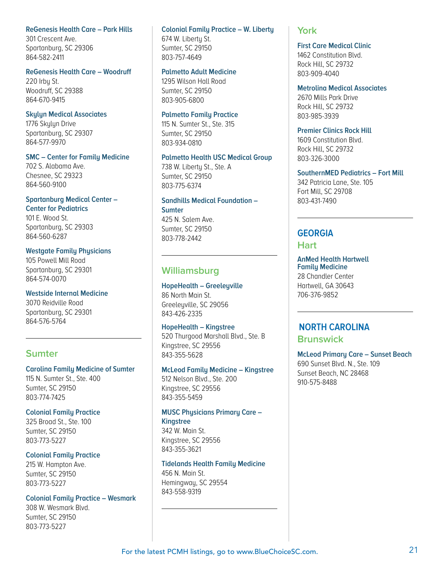#### **ReGenesis Health Care – Park Hills**

301 Crescent Ave. Spartanburg, SC 29306 864-582-2411

#### **ReGenesis Health Care – Woodruff**

220 Irbu St. Woodruff, SC 29388 864-670-9415

## **Skylyn Medical Associates**

1776 Skylyn Drive Spartanburg, SC 29307 864-577-9970

# **SMC – Center for Family Medicine**

702 S. Alabama Ave. Chesnee, SC 29323 864-560-9100

## **Spartanburg Medical Center – Center for Pediatrics**

101 E. Wood St. Spartanburg, SC 29303 864-560-6287

#### **Westgate Family Physicians** 105 Powell Mill Road Spartanburg, SC 29301

864-574-0070

#### **Westside Internal Medicine** 3070 Reidville Road Spartanburg, SC 29301 864-576-5764

# **Sumter**

**Carolina Family Medicine of Sumter**  115 N. Sumter St., Ste. 400 Sumter, SC 29150 803-774-7425

# **Colonial Family Practice**

325 Broad St., Ste. 100 Sumter, SC 29150 803-773-5227

# **Colonial Family Practice**

215 W. Hampton Ave. Sumter, SC 29150 803-773-5227

#### **Colonial Family Practice – Wesmark**

308 W. Wesmark Blvd. Sumter, SC 29150 803-773-5227

**Colonial Family Practice – W. Liberty** 674 W. Liberty St. Sumter, SC 29150 803-757-4649

#### **Palmetto Adult Medicine**

1295 Wilson Hall Road Sumter, SC 29150 803-905-6800

## **Palmetto Family Practice**

115 N. Sumter St., Ste. 315 Sumter, SC 29150 803-934-0810

# **Palmetto Health USC Medical Group**

738 W. Liberty St., Ste. A Sumter, SC 29150 803-775-6374

#### **Sandhills Medical Foundation – Sumter** 425 N. Salem Ave.

Sumter, SC 29150 803-778-2442

# **Williamsburg**

**HopeHealth – Greeleyville** 86 North Main St. Greeleyville, SC 29056 843-426-2335

## **HopeHealth – Kingstree**

520 Thurgood Marshall Blvd., Ste. B Kingstree, SC 29556 843-355-5628

# **McLeod Family Medicine – Kingstree**

512 Nelson Blvd., Ste. 200 Kingstree, SC 29556 843-355-5459

# **MUSC Physicians Primary Care – Kingstree**

342 W. Main St. Kingstree, SC 29556 843-355-3621

# **Tidelands Health Family Medicine**

456 N. Main St. Hemingway, SC 29554 843-558-9319

# **York**

# **First Care Medical Clinic**

1462 Constitution Blvd. Rock Hill, SC 29732 803-909-4040

## **Metrolina Medical Associates**

2670 Mills Park Drive Rock Hill, SC 29732 803-985-3939

## **Premier Clinics Rock Hill**

1609 Constitution Blvd. Rock Hill, SC 29732 803-326-3000

#### **SouthernMED Pediatrics – Fort Mill**

342 Patricia Lane, Ste. 105 Fort Mill, SC 29708 803-431-7490

# **GEORGIA Hart**

**AnMed Health Hartwell Family Medicine** 28 Chandler Center Hartwell, GA 30643 706-376-9852

# **NORTH CAROLINA Brunswick**

**McLeod Primary Care – Sunset Beach** 690 Sunset Blvd. N., Ste. 109 Sunset Beach, NC 28468 910-575-8488